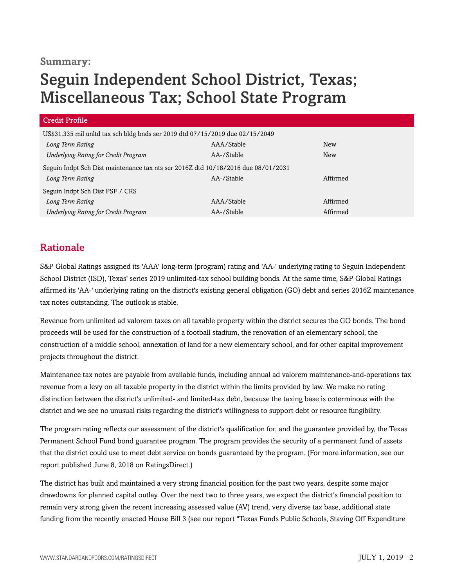## **Summary:**

# Seguin Independent School District, Texas; Miscellaneous Tax; School State Program

| <b>Credit Profile</b>                                                             |            |            |
|-----------------------------------------------------------------------------------|------------|------------|
| US\$31.335 mil unltd tax sch bldg bnds ser 2019 dtd 07/15/2019 due 02/15/2049     |            |            |
| Long Term Rating                                                                  | AAA/Stable | New        |
| <b>Underlying Rating for Credit Program</b>                                       | AA-/Stable | <b>New</b> |
| Seguin Indpt Sch Dist maintenance tax nts ser 2016Z dtd 10/18/2016 due 08/01/2031 |            |            |
| Long Term Rating                                                                  | AA-/Stable | Affirmed   |
| Seguin Indpt Sch Dist PSF / CRS                                                   |            |            |
| Long Term Rating                                                                  | AAA/Stable | Affirmed   |
| <b>Underlying Rating for Credit Program</b>                                       | AA-/Stable | Affirmed   |

# Rationale

S&P Global Ratings assigned its 'AAA' long-term (program) rating and 'AA-' underlying rating to Seguin Independent School District (ISD), Texas' series 2019 unlimited-tax school building bonds. At the same time, S&P Global Ratings affirmed its 'AA-' underlying rating on the district's existing general obligation (GO) debt and series 2016Z maintenance tax notes outstanding. The outlook is stable.

Revenue from unlimited ad valorem taxes on all taxable property within the district secures the GO bonds. The bond proceeds will be used for the construction of a football stadium, the renovation of an elementary school, the construction of a middle school, annexation of land for a new elementary school, and for other capital improvement projects throughout the district.

Maintenance tax notes are payable from available funds, including annual ad valorem maintenance-and-operations tax revenue from a levy on all taxable property in the district within the limits provided by law. We make no rating distinction between the district's unlimited- and limited-tax debt, because the taxing base is coterminous with the district and we see no unusual risks regarding the district's willingness to support debt or resource fungibility.

The program rating reflects our assessment of the district's qualification for, and the guarantee provided by, the Texas Permanent School Fund bond guarantee program. The program provides the security of a permanent fund of assets that the district could use to meet debt service on bonds guaranteed by the program. (For more information, see our report published June 8, 2018 on RatingsDirect.)

The district has built and maintained a very strong financial position for the past two years, despite some major drawdowns for planned capital outlay. Over the next two to three years, we expect the district's financial position to remain very strong given the recent increasing assessed value (AV) trend, very diverse tax base, additional state funding from the recently enacted House Bill 3 (see our report "Texas Funds Public Schools, Staving Off Expenditure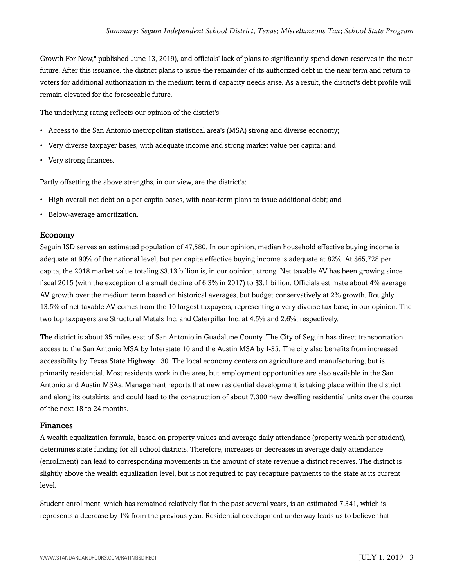Growth For Now," published June 13, 2019), and officials' lack of plans to significantly spend down reserves in the near future. After this issuance, the district plans to issue the remainder of its authorized debt in the near term and return to voters for additional authorization in the medium term if capacity needs arise. As a result, the district's debt profile will remain elevated for the foreseeable future.

The underlying rating reflects our opinion of the district's:

- Access to the San Antonio metropolitan statistical area's (MSA) strong and diverse economy;
- Very diverse taxpayer bases, with adequate income and strong market value per capita; and
- Very strong finances.

Partly offsetting the above strengths, in our view, are the district's:

- High overall net debt on a per capita bases, with near-term plans to issue additional debt; and
- Below-average amortization.

#### Economy

Seguin ISD serves an estimated population of 47,580. In our opinion, median household effective buying income is adequate at 90% of the national level, but per capita effective buying income is adequate at 82%. At \$65,728 per capita, the 2018 market value totaling \$3.13 billion is, in our opinion, strong. Net taxable AV has been growing since fiscal 2015 (with the exception of a small decline of 6.3% in 2017) to \$3.1 billion. Officials estimate about 4% average AV growth over the medium term based on historical averages, but budget conservatively at 2% growth. Roughly 13.5% of net taxable AV comes from the 10 largest taxpayers, representing a very diverse tax base, in our opinion. The two top taxpayers are Structural Metals Inc. and Caterpillar Inc. at 4.5% and 2.6%, respectively.

The district is about 35 miles east of San Antonio in Guadalupe County. The City of Seguin has direct transportation access to the San Antonio MSA by Interstate 10 and the Austin MSA by I-35. The city also benefits from increased accessibility by Texas State Highway 130. The local economy centers on agriculture and manufacturing, but is primarily residential. Most residents work in the area, but employment opportunities are also available in the San Antonio and Austin MSAs. Management reports that new residential development is taking place within the district and along its outskirts, and could lead to the construction of about 7,300 new dwelling residential units over the course of the next 18 to 24 months.

#### Finances

A wealth equalization formula, based on property values and average daily attendance (property wealth per student), determines state funding for all school districts. Therefore, increases or decreases in average daily attendance (enrollment) can lead to corresponding movements in the amount of state revenue a district receives. The district is slightly above the wealth equalization level, but is not required to pay recapture payments to the state at its current level.

Student enrollment, which has remained relatively flat in the past several years, is an estimated 7,341, which is represents a decrease by 1% from the previous year. Residential development underway leads us to believe that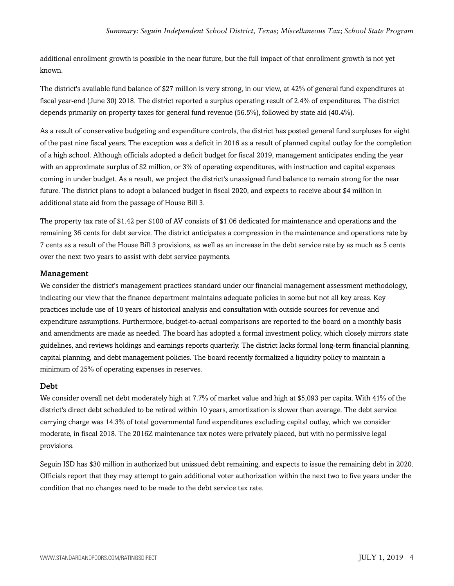additional enrollment growth is possible in the near future, but the full impact of that enrollment growth is not yet known.

The district's available fund balance of \$27 million is very strong, in our view, at 42% of general fund expenditures at fiscal year-end (June 30) 2018. The district reported a surplus operating result of 2.4% of expenditures. The district depends primarily on property taxes for general fund revenue (56.5%), followed by state aid (40.4%).

As a result of conservative budgeting and expenditure controls, the district has posted general fund surpluses for eight of the past nine fiscal years. The exception was a deficit in 2016 as a result of planned capital outlay for the completion of a high school. Although officials adopted a deficit budget for fiscal 2019, management anticipates ending the year with an approximate surplus of \$2 million, or 3% of operating expenditures, with instruction and capital expenses coming in under budget. As a result, we project the district's unassigned fund balance to remain strong for the near future. The district plans to adopt a balanced budget in fiscal 2020, and expects to receive about \$4 million in additional state aid from the passage of House Bill 3.

The property tax rate of \$1.42 per \$100 of AV consists of \$1.06 dedicated for maintenance and operations and the remaining 36 cents for debt service. The district anticipates a compression in the maintenance and operations rate by 7 cents as a result of the House Bill 3 provisions, as well as an increase in the debt service rate by as much as 5 cents over the next two years to assist with debt service payments.

#### Management

We consider the district's management practices standard under our financial management assessment methodology, indicating our view that the finance department maintains adequate policies in some but not all key areas. Key practices include use of 10 years of historical analysis and consultation with outside sources for revenue and expenditure assumptions. Furthermore, budget-to-actual comparisons are reported to the board on a monthly basis and amendments are made as needed. The board has adopted a formal investment policy, which closely mirrors state guidelines, and reviews holdings and earnings reports quarterly. The district lacks formal long-term financial planning, capital planning, and debt management policies. The board recently formalized a liquidity policy to maintain a minimum of 25% of operating expenses in reserves.

#### Debt

We consider overall net debt moderately high at 7.7% of market value and high at \$5,093 per capita. With 41% of the district's direct debt scheduled to be retired within 10 years, amortization is slower than average. The debt service carrying charge was 14.3% of total governmental fund expenditures excluding capital outlay, which we consider moderate, in fiscal 2018. The 2016Z maintenance tax notes were privately placed, but with no permissive legal provisions.

Seguin ISD has \$30 million in authorized but unissued debt remaining, and expects to issue the remaining debt in 2020. Officials report that they may attempt to gain additional voter authorization within the next two to five years under the condition that no changes need to be made to the debt service tax rate.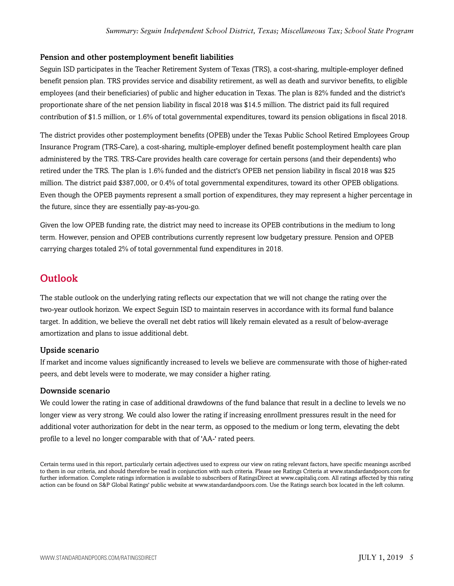#### Pension and other postemployment benefit liabilities

Seguin ISD participates in the Teacher Retirement System of Texas (TRS), a cost-sharing, multiple-employer defined benefit pension plan. TRS provides service and disability retirement, as well as death and survivor benefits, to eligible employees (and their beneficiaries) of public and higher education in Texas. The plan is 82% funded and the district's proportionate share of the net pension liability in fiscal 2018 was \$14.5 million. The district paid its full required contribution of \$1.5 million, or 1.6% of total governmental expenditures, toward its pension obligations in fiscal 2018.

The district provides other postemployment benefits (OPEB) under the Texas Public School Retired Employees Group Insurance Program (TRS-Care), a cost-sharing, multiple-employer defined benefit postemployment health care plan administered by the TRS. TRS-Care provides health care coverage for certain persons (and their dependents) who retired under the TRS. The plan is 1.6% funded and the district's OPEB net pension liability in fiscal 2018 was \$25 million. The district paid \$387,000, or 0.4% of total governmental expenditures, toward its other OPEB obligations. Even though the OPEB payments represent a small portion of expenditures, they may represent a higher percentage in the future, since they are essentially pay-as-you-go.

Given the low OPEB funding rate, the district may need to increase its OPEB contributions in the medium to long term. However, pension and OPEB contributions currently represent low budgetary pressure. Pension and OPEB carrying charges totaled 2% of total governmental fund expenditures in 2018.

## **Outlook**

The stable outlook on the underlying rating reflects our expectation that we will not change the rating over the two-year outlook horizon. We expect Seguin ISD to maintain reserves in accordance with its formal fund balance target. In addition, we believe the overall net debt ratios will likely remain elevated as a result of below-average amortization and plans to issue additional debt.

#### Upside scenario

If market and income values significantly increased to levels we believe are commensurate with those of higher-rated peers, and debt levels were to moderate, we may consider a higher rating.

#### Downside scenario

We could lower the rating in case of additional drawdowns of the fund balance that result in a decline to levels we no longer view as very strong. We could also lower the rating if increasing enrollment pressures result in the need for additional voter authorization for debt in the near term, as opposed to the medium or long term, elevating the debt profile to a level no longer comparable with that of 'AA-' rated peers.

Certain terms used in this report, particularly certain adjectives used to express our view on rating relevant factors, have specific meanings ascribed to them in our criteria, and should therefore be read in conjunction with such criteria. Please see Ratings Criteria at www.standardandpoors.com for further information. Complete ratings information is available to subscribers of RatingsDirect at www.capitaliq.com. All ratings affected by this rating action can be found on S&P Global Ratings' public website at www.standardandpoors.com. Use the Ratings search box located in the left column.